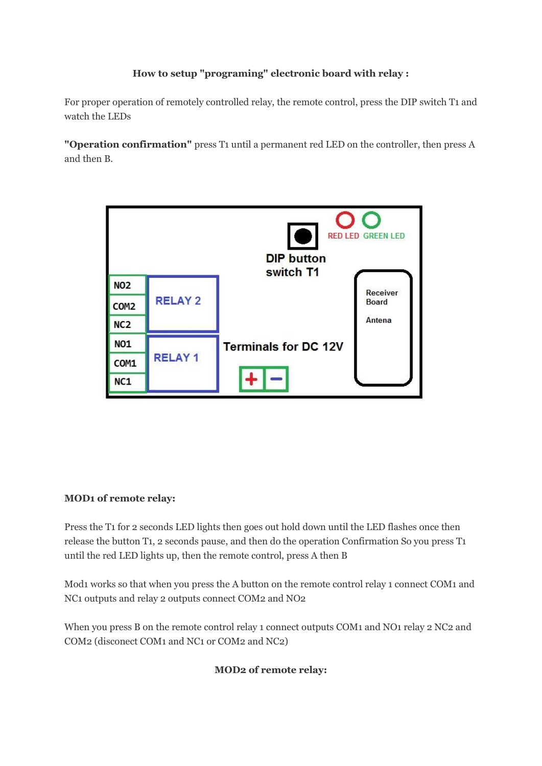# **How to setup "programing" electronic board with relay :**

For proper operation of remotely controlled relay, the remote control, press the DIP switch T1 and watch the LEDs

**"Operation confirmation"** press T1 until a permanent red LED on the controller, then press A and then B.



# **MOD1 of remote relay:**

Press the T1 for 2 seconds LED lights then goes out hold down until the LED flashes once then release the button T1, 2 seconds pause, and then do the operation Confirmation So you press T1 until the red LED lights up, then the remote control, press A then B

Mod1 works so that when you press the A button on the remote control relay 1 connect COM1 and NC1 outputs and relay 2 outputs connect COM2 and NO2

When you press B on the remote control relay 1 connect outputs COM1 and NO1 relay 2 NC2 and COM2 (disconect COM1 and NC1 or COM2 and NC2)

# **MOD2 of remote relay:**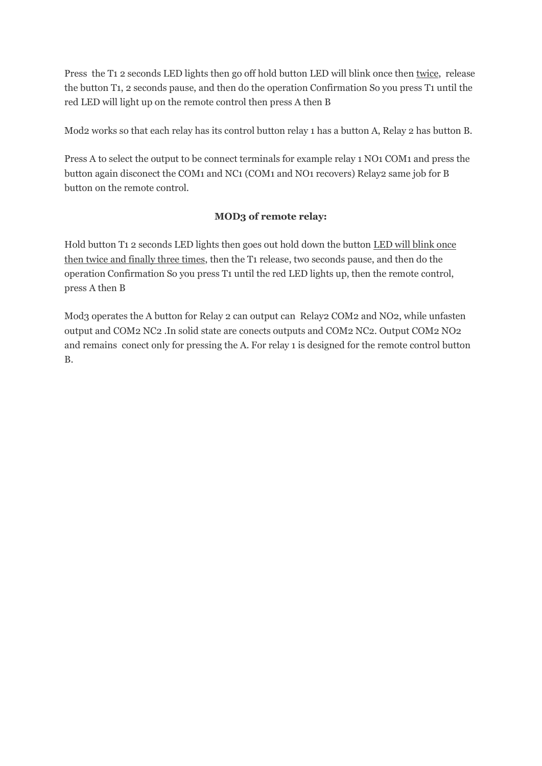Press the T1 2 seconds LED lights then go off hold button LED will blink once then twice, release the button T1, 2 seconds pause, and then do the operation Confirmation So you press T1 until the red LED will light up on the remote control then press A then B

Mod2 works so that each relay has its control button relay 1 has a button A, Relay 2 has button B.

Press A to select the output to be connect terminals for example relay 1 NO1 COM1 and press the button again disconect the COM1 and NC1 (COM1 and NO1 recovers) Relay2 same job for B button on the remote control.

#### **MOD3 of remote relay:**

Hold button T1 2 seconds LED lights then goes out hold down the button LED will blink once then twice and finally three times, then the T1 release, two seconds pause, and then do the operation Confirmation So you press T1 until the red LED lights up, then the remote control, press A then B

Mod3 operates the A button for Relay 2 can output can Relay2 COM2 and NO2, while unfasten output and COM2 NC2 .In solid state are conects outputs and COM2 NC2. Output COM2 NO2 and remains conect only for pressing the A. For relay 1 is designed for the remote control button B.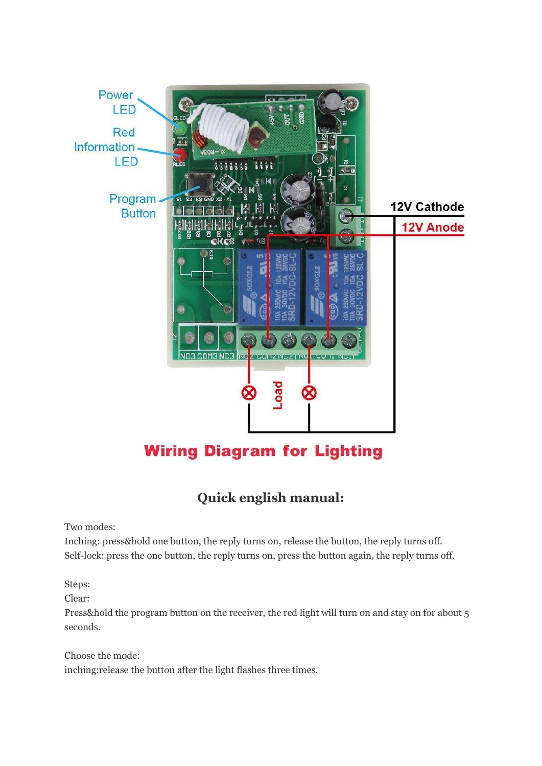

# **Quick english manual:**

Two modes:

Inching: press&hold one button, the reply turns on, release the button, the reply turns off. Self-lock: press the one button, the reply turns on, press the button again, the reply turns off.

Steps:

Clear:

Press&hold the program button on the receiver, the red light will turn on and stay on for about 5 seconds.

Choose the mode: inching:release the button after the light flashes three times.